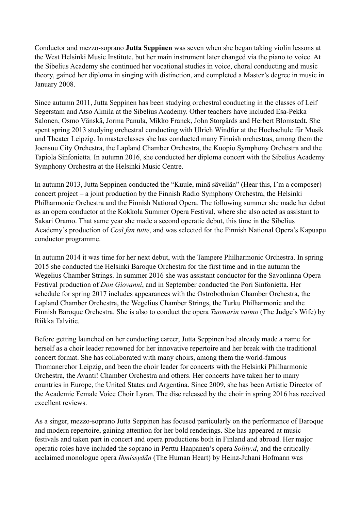Conductor and mezzo-soprano **Jutta Seppinen** was seven when she began taking violin lessons at the West Helsinki Music Institute, but her main instrument later changed via the piano to voice. At the Sibelius Academy she continued her vocational studies in voice, choral conducting and music theory, gained her diploma in singing with distinction, and completed a Master's degree in music in January 2008.

Since autumn 2011, Jutta Seppinen has been studying orchestral conducting in the classes of Leif Segerstam and Atso Almila at the Sibelius Academy. Other teachers have included Esa-Pekka Salonen, Osmo Vänskä, Jorma Panula, Mikko Franck, John Storgårds and Herbert Blomstedt. She spent spring 2013 studying orchestral conducting with Ulrich Windfur at the Hochschule für Musik und Theater Leipzig. In masterclasses she has conducted many Finnish orchestras, among them the Joensuu City Orchestra, the Lapland Chamber Orchestra, the Kuopio Symphony Orchestra and the Tapiola Sinfonietta. In autumn 2016, she conducted her diploma concert with the Sibelius Academy Symphony Orchestra at the Helsinki Music Centre.

In autumn 2013, Jutta Seppinen conducted the "Kuule, minä sävellän" (Hear this, I'm a composer) concert project – a joint production by the Finnish Radio Symphony Orchestra, the Helsinki Philharmonic Orchestra and the Finnish National Opera. The following summer she made her debut as an opera conductor at the Kokkola Summer Opera Festival, where she also acted as assistant to Sakari Oramo. That same year she made a second operatic debut, this time in the Sibelius Academy's production of *Così fan tutte*, and was selected for the Finnish National Opera's Kapuapu conductor programme.

In autumn 2014 it was time for her next debut, with the Tampere Philharmonic Orchestra. In spring 2015 she conducted the Helsinki Baroque Orchestra for the first time and in the autumn the Wegelius Chamber Strings. In summer 2016 she was assistant conductor for the Savonlinna Opera Festival production of *Don Giovanni*, and in September conducted the Pori Sinfonietta. Her schedule for spring 2017 includes appearances with the Ostrobothnian Chamber Orchestra, the Lapland Chamber Orchestra, the Wegelius Chamber Strings, the Turku Philharmonic and the Finnish Baroque Orchestra. She is also to conduct the opera *Tuomarin vaimo* (The Judge's Wife) by Riikka Talvitie.

Before getting launched on her conducting career, Jutta Seppinen had already made a name for herself as a choir leader renowned for her innovative repertoire and her break with the traditional concert format. She has collaborated with many choirs, among them the world-famous Thomanerchor Leipzig, and been the choir leader for concerts with the Helsinki Philharmonic Orchestra, the Avanti! Chamber Orchestra and others. Her concerts have taken her to many countries in Europe, the United States and Argentina. Since 2009, she has been Artistic Director of the Academic Female Voice Choir Lyran. The disc released by the choir in spring 2016 has received excellent reviews.

As a singer, mezzo-soprano Jutta Seppinen has focused particularly on the performance of Baroque and modern repertoire, gaining attention for her bold renderings. She has appeared at music festivals and taken part in concert and opera productions both in Finland and abroad. Her major operatic roles have included the soprano in Perttu Haapanen's opera *Solity:d*, and the criticallyacclaimed monologue opera *Ihmissydän* (The Human Heart) by Heinz-Juhani Hofmann was